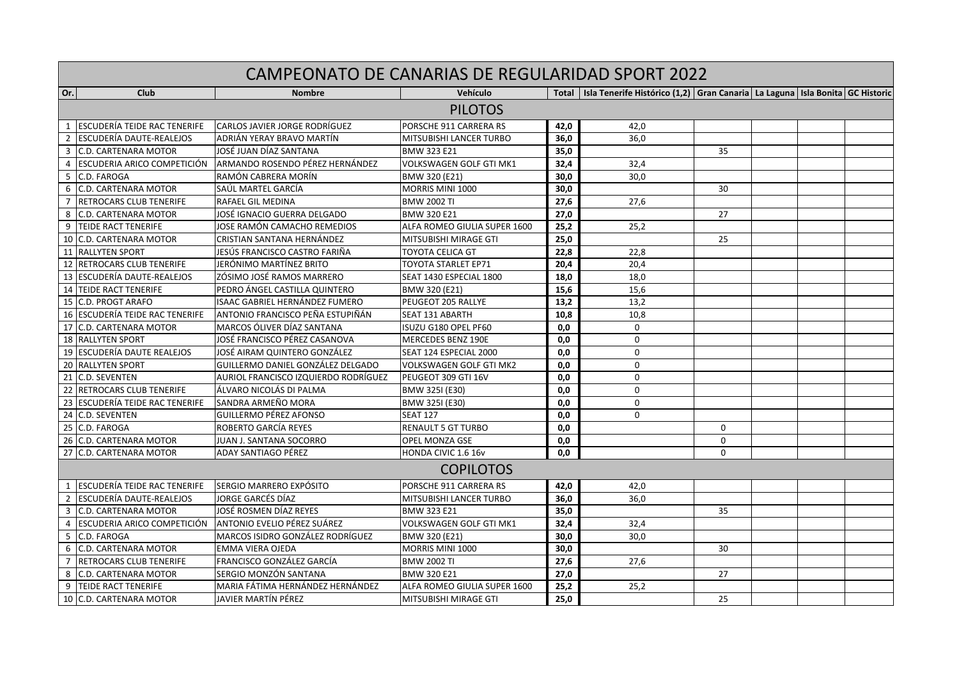| CAMPEONATO DE CANARIAS DE REGULARIDAD SPORT 2022 |                                     |                                      |                                |      |                                                                                              |             |  |  |  |
|--------------------------------------------------|-------------------------------------|--------------------------------------|--------------------------------|------|----------------------------------------------------------------------------------------------|-------------|--|--|--|
| Or.                                              | Club                                | <b>Nombre</b>                        | Vehículo                       |      | Total   Isla Tenerife Histórico (1,2)   Gran Canaria   La Laguna   Isla Bonita   GC Historic |             |  |  |  |
| <b>PILOTOS</b>                                   |                                     |                                      |                                |      |                                                                                              |             |  |  |  |
|                                                  | <b>ESCUDERÍA TEIDE RAC TENERIFE</b> | CARLOS JAVIER JORGE RODRÍGUEZ        | PORSCHE 911 CARRERA RS         | 42,0 | 42,0                                                                                         |             |  |  |  |
| $\overline{2}$                                   | <b>ESCUDERÍA DAUTE-REALEJOS</b>     | ADRIÁN YERAY BRAVO MARTÍN            | <b>MITSUBISHI LANCER TURBO</b> | 36,0 | 36.0                                                                                         |             |  |  |  |
| 3                                                | <b>C.D. CARTENARA MOTOR</b>         | JOSÉ JUAN DÍAZ SANTANA               | <b>BMW 323 E21</b>             | 35,0 |                                                                                              | 35          |  |  |  |
| $\overline{4}$                                   | IESCUDERIA ARICO COMPETICIÓN        | ARMANDO ROSENDO PÉREZ HERNÁNDEZ      | <b>VOLKSWAGEN GOLF GTI MK1</b> | 32,4 | 32,4                                                                                         |             |  |  |  |
| 5                                                | C.D. FAROGA                         | RAMÓN CABRERA MORÍN                  | BMW 320 (E21)                  | 30,0 | 30.0                                                                                         |             |  |  |  |
| 6                                                | C.D. CARTENARA MOTOR                | SAÚL MARTEL GARCÍA                   | MORRIS MINI 1000               | 30,0 |                                                                                              | 30          |  |  |  |
| $\overline{7}$                                   | <b>RETROCARS CLUB TENERIFE</b>      | RAFAEL GIL MEDINA                    | <b>BMW 2002 TI</b>             | 27,6 | 27,6                                                                                         |             |  |  |  |
| 8                                                | C.D. CARTENARA MOTOR                | JOSÉ IGNACIO GUERRA DELGADO          | <b>BMW 320 E21</b>             | 27,0 |                                                                                              | 27          |  |  |  |
|                                                  | 9 TEIDE RACT TENERIFE               | JOSE RAMÓN CAMACHO REMEDIOS          | ALFA ROMEO GIULIA SUPER 1600   | 25,2 | 25,2                                                                                         |             |  |  |  |
|                                                  | 10 C.D. CARTENARA MOTOR             | CRISTIAN SANTANA HERNÁNDEZ           | MITSUBISHI MIRAGE GTI          | 25,0 |                                                                                              | 25          |  |  |  |
|                                                  | 11 RALLYTEN SPORT                   | JESÚS FRANCISCO CASTRO FARIÑA        | TOYOTA CELICA GT               | 22,8 | 22,8                                                                                         |             |  |  |  |
|                                                  | 12 RETROCARS CLUB TENERIFE          | JERÓNIMO MARTÍNEZ BRITO              | <b>TOYOTA STARLET EP71</b>     | 20,4 | 20.4                                                                                         |             |  |  |  |
|                                                  | 13 ESCUDERÍA DAUTE-REALEJOS         | ZÓSIMO JOSÉ RAMOS MARRERO            | SEAT 1430 ESPECIAL 1800        | 18,0 | 18.0                                                                                         |             |  |  |  |
|                                                  | 14 TEIDE RACT TENERIFE              | PEDRO ÁNGEL CASTILLA QUINTERO        | BMW 320 (E21)                  | 15,6 | 15,6                                                                                         |             |  |  |  |
|                                                  | 15 C.D. PROGT ARAFO                 | ISAAC GABRIEL HERNÁNDEZ FUMERO       | <b>PEUGEOT 205 RALLYE</b>      | 13,2 | 13,2                                                                                         |             |  |  |  |
|                                                  | 16 ESCUDERÍA TEIDE RAC TENERIFE     | ANTONIO FRANCISCO PEÑA ESTUPIÑÁN     | <b>SEAT 131 ABARTH</b>         | 10,8 | 10.8                                                                                         |             |  |  |  |
|                                                  | 17 C.D. CARTENARA MOTOR             | MARCOS ÓLIVER DÍAZ SANTANA           | ISUZU G180 OPEL PF60           | 0,0  | $\Omega$                                                                                     |             |  |  |  |
|                                                  | <b>18 RALLYTEN SPORT</b>            | JOSÉ FRANCISCO PÉREZ CASANOVA        | <b>MERCEDES BENZ 190E</b>      | 0.0  | $\Omega$                                                                                     |             |  |  |  |
|                                                  | 19 ESCUDERÍA DAUTE REALEJOS         | JOSÉ AIRAM QUINTERO GONZÁLEZ         | SEAT 124 ESPECIAL 2000         | 0,0  | $\mathbf 0$                                                                                  |             |  |  |  |
|                                                  | 20 RALLYTEN SPORT                   | GUILLERMO DANIEL GONZÁLEZ DELGADO    | VOLKSWAGEN GOLF GTI MK2        | 0.0  | $\Omega$                                                                                     |             |  |  |  |
| 21                                               | <b>C.D. SEVENTEN</b>                | AURIOL FRANCISCO IZQUIERDO RODRÍGUEZ | PEUGEOT 309 GTI 16V            | 0,0  | $\Omega$                                                                                     |             |  |  |  |
| 22                                               | <b>RETROCARS CLUB TENERIFE</b>      | ÁLVARO NICOLÁS DI PALMA              | BMW 325I (E30)                 | 0,0  | $\mathbf 0$                                                                                  |             |  |  |  |
|                                                  | 23 ESCUDERÍA TEIDE RAC TENERIFE     | SANDRA ARMEÑO MORA                   | BMW 325I (E30)                 | 0,0  | $\mathbf 0$                                                                                  |             |  |  |  |
|                                                  | 24 C.D. SEVENTEN                    | <b>GUILLERMO PÉREZ AFONSO</b>        | <b>SEAT 127</b>                | 0.0  | $\Omega$                                                                                     |             |  |  |  |
|                                                  | 25 C.D. FAROGA                      | ROBERTO GARCÍA REYES                 | RENAULT 5 GT TURBO             | 0,0  |                                                                                              | 0           |  |  |  |
|                                                  | 26 C.D. CARTENARA MOTOR             | JUAN J. SANTANA SOCORRO              | <b>OPEL MONZA GSE</b>          | 0,0  |                                                                                              | $\mathbf 0$ |  |  |  |
|                                                  | 27 C.D. CARTENARA MOTOR             | ADAY SANTIAGO PÉREZ                  | HONDA CIVIC 1.6 16v            | 0,0  |                                                                                              | $\Omega$    |  |  |  |
|                                                  | <b>COPILOTOS</b>                    |                                      |                                |      |                                                                                              |             |  |  |  |
|                                                  | 1 ESCUDERÍA TEIDE RAC TENERIFE      | ISERGIO MARRERO EXPÓSITO             | PORSCHE 911 CARRERA RS         | 42,0 | 42,0                                                                                         |             |  |  |  |
| $\overline{2}$                                   | <b>ESCUDERÍA DAUTE-REALEJOS</b>     | JORGE GARCÉS DÍAZ                    | MITSUBISHI LANCER TURBO        | 36,0 | 36,0                                                                                         |             |  |  |  |
| 3                                                | C.D. CARTENARA MOTOR                | JOSÉ ROSMEN DÍAZ REYES               | <b>BMW 323 E21</b>             | 35,0 |                                                                                              | 35          |  |  |  |
| $\overline{4}$                                   | IESCUDERIA ARICO COMPETICIÓN        | ANTONIO EVELIO PÉREZ SUÁREZ          | <b>VOLKSWAGEN GOLF GTI MK1</b> | 32,4 | 32,4                                                                                         |             |  |  |  |
| 5                                                | C.D. FAROGA                         | MARCOS ISIDRO GONZÁLEZ RODRÍGUEZ     | BMW 320 (E21)                  | 30,0 | 30,0                                                                                         |             |  |  |  |
| 6                                                | C.D. CARTENARA MOTOR                | EMMA VIERA OJEDA                     | MORRIS MINI 1000               | 30,0 |                                                                                              | 30          |  |  |  |
| $\overline{7}$                                   | <b>RETROCARS CLUB TENERIFE</b>      | FRANCISCO GONZÁLEZ GARCÍA            | <b>BMW 2002 TI</b>             | 27,6 | 27.6                                                                                         |             |  |  |  |
| 8                                                | C.D. CARTENARA MOTOR                | SERGIO MONZÓN SANTANA                | <b>BMW 320 E21</b>             | 27,0 |                                                                                              | 27          |  |  |  |
| 9                                                | <b>TEIDE RACT TENERIFE</b>          | MARIA FÁTIMA HERNÁNDEZ HERNÁNDEZ     | ALFA ROMEO GIULIA SUPER 1600   | 25,2 | 25,2                                                                                         |             |  |  |  |
|                                                  | 10 C.D. CARTENARA MOTOR             | JAVIER MARTÍN PÉREZ                  | <b>MITSUBISHI MIRAGE GTI</b>   | 25,0 |                                                                                              | 25          |  |  |  |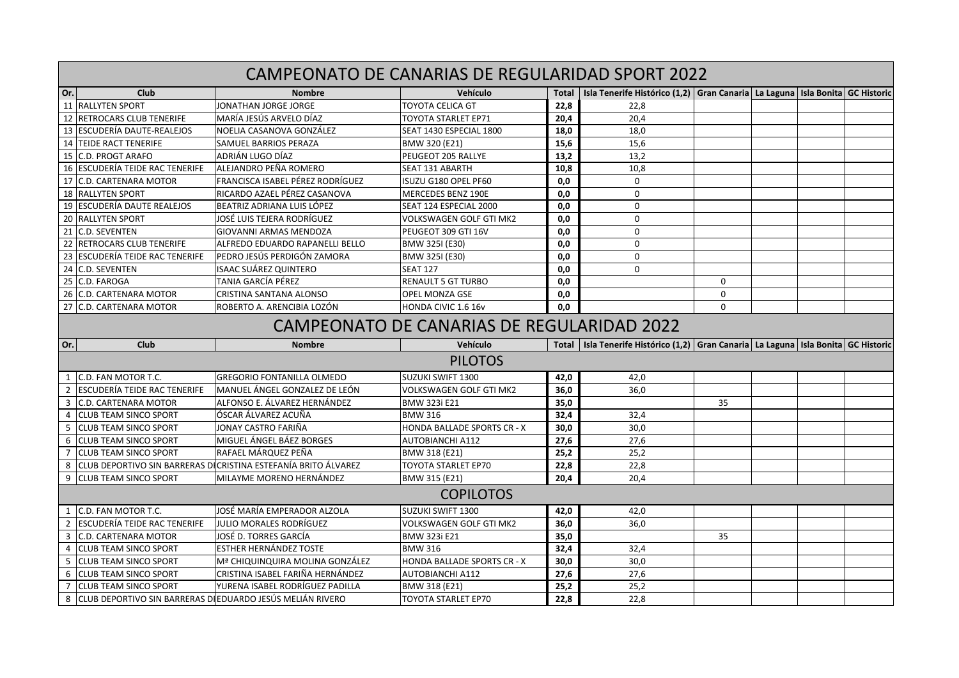| CAMPEONATO DE CANARIAS DE REGULARIDAD SPORT 2022 |                                                                                             |                                                                 |                                    |              |                                                                                      |          |  |                           |  |
|--------------------------------------------------|---------------------------------------------------------------------------------------------|-----------------------------------------------------------------|------------------------------------|--------------|--------------------------------------------------------------------------------------|----------|--|---------------------------|--|
| Or.                                              | Club                                                                                        | <b>Nombre</b>                                                   | Vehículo                           | <b>Total</b> | Isla Tenerife Histórico (1,2) Gran Canaria La Laguna                                 |          |  | Isla Bonita   GC Historic |  |
|                                                  | 11 RALLYTEN SPORT                                                                           | JONATHAN JORGE JORGE                                            | TOYOTA CELICA GT                   | 22,8         | 22,8                                                                                 |          |  |                           |  |
|                                                  | 12 RETROCARS CLUB TENERIFE                                                                  | MARÍA JESÚS ARVELO DÍAZ                                         | TOYOTA STARLET EP71                | 20.4         | 20,4                                                                                 |          |  |                           |  |
|                                                  | 13 ESCUDERÍA DAUTE-REALEJOS                                                                 | NOELIA CASANOVA GONZÁLEZ                                        | SEAT 1430 ESPECIAL 1800            | 18,0         | 18,0                                                                                 |          |  |                           |  |
|                                                  | <b>14 TEIDE RACT TENERIFE</b>                                                               | <b>SAMUEL BARRIOS PERAZA</b>                                    | BMW 320 (E21)                      | 15,6         | 15,6                                                                                 |          |  |                           |  |
|                                                  | 15 C.D. PROGT ARAFO                                                                         | ADRIÁN LUGO DÍAZ                                                | PEUGEOT 205 RALLYE                 | 13,2         | 13,2                                                                                 |          |  |                           |  |
|                                                  | 16 ESCUDERÍA TEIDE RAC TENERIFE                                                             | ALEJANDRO PEÑA ROMERO                                           | SEAT 131 ABARTH                    | 10,8         | 10,8                                                                                 |          |  |                           |  |
|                                                  | 17 C.D. CARTENARA MOTOR                                                                     | FRANCISCA ISABEL PÉREZ RODRÍGUEZ                                | ISUZU G180 OPEL PF60               | 0,0          | $\Omega$                                                                             |          |  |                           |  |
|                                                  | 18 RALLYTEN SPORT                                                                           | RICARDO AZAEL PÉREZ CASANOVA                                    | <b>MERCEDES BENZ 190E</b>          | 0,0          | 0                                                                                    |          |  |                           |  |
|                                                  | 19 ESCUDERÍA DAUTE REALEJOS                                                                 | BEATRIZ ADRIANA LUIS LÓPEZ                                      | SEAT 124 ESPECIAL 2000             | 0,0          | $\mathbf 0$                                                                          |          |  |                           |  |
|                                                  | 20 RALLYTEN SPORT                                                                           | JOSÉ LUIS TEJERA RODRÍGUEZ                                      | VOLKSWAGEN GOLF GTI MK2            | 0,0          | 0                                                                                    |          |  |                           |  |
|                                                  | 21 C.D. SEVENTEN                                                                            | GIOVANNI ARMAS MENDOZA                                          | PEUGEOT 309 GTI 16V                | 0,0          | $\mathbf 0$                                                                          |          |  |                           |  |
|                                                  | 22 RETROCARS CLUB TENERIFE                                                                  | ALFREDO EDUARDO RAPANELLI BELLO                                 | BMW 325I (E30)                     | 0.0          | $\Omega$                                                                             |          |  |                           |  |
|                                                  | 23 ESCUDERÍA TEIDE RAC TENERIFE                                                             | lPEDRO JESÚS PERDIGÓN ZAMORA                                    | BMW 325I (E30)                     | 0.0          | $\Omega$                                                                             |          |  |                           |  |
|                                                  | 24 C.D. SEVENTEN                                                                            | <b>ISAAC SUÁREZ QUINTERO</b>                                    | <b>SEAT 127</b>                    | 0.0          | $\Omega$                                                                             |          |  |                           |  |
|                                                  | 25 C.D. FAROGA                                                                              | TANIA GARCÍA PÉREZ                                              | <b>RENAULT 5 GT TURBO</b>          | 0,0          |                                                                                      | 0        |  |                           |  |
|                                                  | 26 C.D. CARTENARA MOTOR                                                                     | <b>CRISTINA SANTANA ALONSO</b>                                  | OPEL MONZA GSE                     | 0,0          |                                                                                      | 0        |  |                           |  |
|                                                  | 27 C.D. CARTENARA MOTOR                                                                     | ROBERTO A. ARENCIBIA LOZÓN                                      | HONDA CIVIC 1.6 16v                | 0.0          |                                                                                      | $\Omega$ |  |                           |  |
| CAMPEONATO DE CANARIAS DE REGULARIDAD 2022       |                                                                                             |                                                                 |                                    |              |                                                                                      |          |  |                           |  |
|                                                  |                                                                                             |                                                                 |                                    |              |                                                                                      |          |  |                           |  |
| Or.                                              | Club                                                                                        | <b>Nombre</b>                                                   | <b>Vehículo</b>                    | Total        | Isla Tenerife Histórico (1,2)   Gran Canaria   La Laguna   Isla Bonita   GC Historic |          |  |                           |  |
|                                                  |                                                                                             |                                                                 | <b>PILOTOS</b>                     |              |                                                                                      |          |  |                           |  |
| 1                                                | C.D. FAN MOTOR T.C.                                                                         | IGREGORIO FONTANILLA OLMEDO                                     | SUZUKI SWIFT 1300                  | 42,0         | 42,0                                                                                 |          |  |                           |  |
| $\overline{2}$                                   | <b>ESCUDERÍA TEIDE RAC TENERIFE</b>                                                         | lMANUEL ÁNGEL GONZALEZ DE LEÓN                                  | VOLKSWAGEN GOLF GTI MK2            | 36,0         | 36,0                                                                                 |          |  |                           |  |
| 3                                                | C.D. CARTENARA MOTOR                                                                        | ALFONSO E. ÁLVAREZ HERNÁNDEZ                                    | <b>BMW 323i E21</b>                | 35,0         |                                                                                      | 35       |  |                           |  |
| 4                                                | <b>CLUB TEAM SINCO SPORT</b>                                                                | lÓSCAR ÁLVAREZ ACUÑA                                            | <b>BMW 316</b>                     | 32,4         | 32,4                                                                                 |          |  |                           |  |
| 5                                                | <b>CLUB TEAM SINCO SPORT</b>                                                                | JONAY CASTRO FARIÑA                                             | <b>HONDA BALLADE SPORTS CR - X</b> | 30,0         | 30,0                                                                                 |          |  |                           |  |
| 6                                                | <b>CLUB TEAM SINCO SPORT</b>                                                                | MIGUEL ÁNGEL BÁEZ BORGES                                        | <b>AUTOBIANCHI A112</b>            | 27,6         | 27,6                                                                                 |          |  |                           |  |
| 7                                                | <b>CLUB TEAM SINCO SPORT</b>                                                                | RAFAEL MÁRQUEZ PEÑA                                             | BMW 318 (E21)                      | 25,2         | 25,2                                                                                 |          |  |                           |  |
| 8                                                |                                                                                             | ICLUB DEPORTIVO SIN BARRERAS DICRISTINA ESTEFANÍA BRITO ÁLVAREZ | <b>TOYOTA STARLET EP70</b>         | 22,8         | 22,8                                                                                 |          |  |                           |  |
| 9                                                | <b>CLUB TEAM SINCO SPORT</b>                                                                | MILAYME MORENO HERNÁNDEZ                                        | BMW 315 (E21)                      | 20.4         | 20.4                                                                                 |          |  |                           |  |
|                                                  |                                                                                             |                                                                 | <b>COPILOTOS</b>                   |              |                                                                                      |          |  |                           |  |
| 1                                                | C.D. FAN MOTOR T.C.                                                                         | JOSÉ MARÍA EMPERADOR ALZOLA                                     | <b>SUZUKI SWIFT 1300</b>           | 42,0         | 42,0                                                                                 |          |  |                           |  |
| $\overline{2}$                                   | <b>ESCUDERÍA TEIDE RAC TENERIFE</b>                                                         | <b>JULIO MORALES RODRÍGUEZ</b>                                  | VOLKSWAGEN GOLF GTI MK2            | 36.0         | 36.0                                                                                 |          |  |                           |  |
| 3                                                | <b>C.D. CARTENARA MOTOR</b>                                                                 | JOSÉ D. TORRES GARCÍA                                           | <b>BMW 323i E21</b>                | 35,0         |                                                                                      | 35       |  |                           |  |
| 4                                                | ICLUB TEAM SINCO SPORT                                                                      | <b>ESTHER HERNÁNDEZ TOSTE</b>                                   | <b>BMW 316</b>                     | 32,4         | 32,4                                                                                 |          |  |                           |  |
| 5                                                | <b>CLUB TEAM SINCO SPORT</b>                                                                | Mª CHIQUINQUIRA MOLINA GONZÁLEZ                                 | <b>HONDA BALLADE SPORTS CR - X</b> | 30,0         | 30,0                                                                                 |          |  |                           |  |
| 6                                                | <b>CLUB TEAM SINCO SPORT</b>                                                                | CRISTINA ISABEL FARIÑA HERNÁNDEZ                                | <b>AUTOBIANCHI A112</b>            | 27,6         | 27,6                                                                                 |          |  |                           |  |
| $\overline{7}$                                   | <b>CLUB TEAM SINCO SPORT</b><br>ÍCLUB DEPORTIVO SIN BARRERAS DI EDUARDO JESÚS MELIÁN RIVERO | YURENA ISABEL RODRÍGUEZ PADILLA                                 | BMW 318 (E21)                      | 25,2<br>22,8 | 25,2<br>22,8                                                                         |          |  |                           |  |